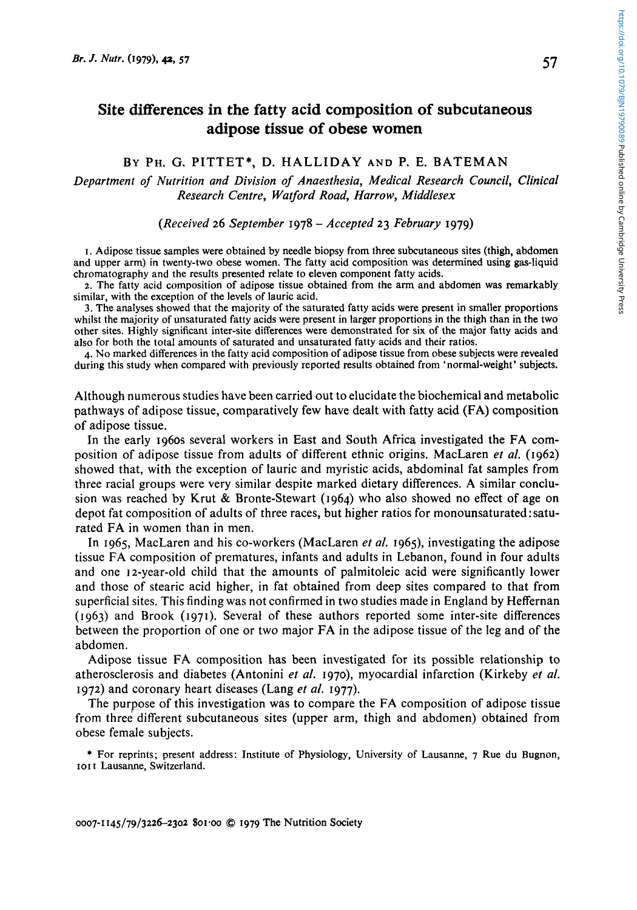# **Site differences in the fatty acid composition of subcutaneous adipose tissue of obese women**

### **BY PH.** *G.* **PITTET\*,** D. HALLIDAY **AND** P. **E.** BATEMAN

*Department of Nutrition and Division of Anaesthesia, Medical Research Council, Clinical Research Centre, Watford Road, Harrow, Middlesex* 

### *(Received 26 September* <sup>1978</sup>- *Accepted 23 February* 1979)

I. Adipose tissue samples were obtained by needle biopsy from three subcutaneous sites (thigh, abdomen and upper arm) in twenty-two obese women. The fatty acid composition was determined using gas-liquid chromatography and the results presented relate to eleven component fatty acids.

*2.* The fatty acid composition of adipose tissue obtained from the arm and abdomen was remarkably similar, with the exception of the levels of lauric acid.

3. The analyses showed that the majority of the saturated fatty acids were present in smaller proportions whilst the majority of unsaturated fatty acids were present in larger proportions in the thigh than in the two other sites. Highly significant inter-site differences were demonstrated for six of the major fatty acids and also for both the total amounts of saturated and unsaturated fatty acids and their ratios.

**4.** No marked differences in the fatty acid composition of adipose tissue from obese subjects were revealed during this study when compared with previously reported results obtained from 'normal-weight' subjects.

Although numerous studies have been carried out to elucidate the biochemical and metabolic pathways of adipose tissue, comparatively few have dealt with fatty acid **(FA)** composition of adipose tissue.

**In** the early 1960s several workers in East and South Africa investigated the FA composition of adipose tissue from adults of different ethnic origins. MacLaren *et al.* (1962) showed that, with the exception of lauric and myristic acids, abdominal fat samples from three racial groups were very similar despite marked dietary differences. A similar conclusion was reached by Krut & Bronte-Stewart (1964) who also showed **no** effect of age on depot fat composition of adults of three races, but higher ratios for monounsaturated: saturated FA in women than in men.

**In** 1965, MacLaren and his co-workers (MacLaren *et a/.* 1969, investigating the adipose tissue **FA** composition of prematures, infants and adults in Lebanon, found in four adults and one 12-year-old child that the amounts of palmitoleic acid were significantly lower and those of stearic acid higher, in fat obtained from deep sites compared to that from superficial sites. This finding was not confirmed in two studies made in England by Heffernan **(1963)** and **Brook** (1971). Several of these authors reported some inter-site differences between the proportion of one or two major FA in the adipose tissue of the leg and of the abdomen.

Adipose tissue FA composition has been investigated for its possible relationship to atherosclerosis and diabetes (Antonini *et al.* 1970), myocardial infarction (Kirkeby *et al.*  1972) and coronary heart diseases (Lang *et al.* 1977).

The purpose of this investigation was to compare the **FA** composition of adipose tissue from three different subcutaneous sites (upper arm, thigh and abdomen) obtained from obese female subjects.

**IOI** I Lausanne, Switzerland. \* For reprints; present address: Institute of Physiology, University of Lausanne, **7** Rue du Bugnon,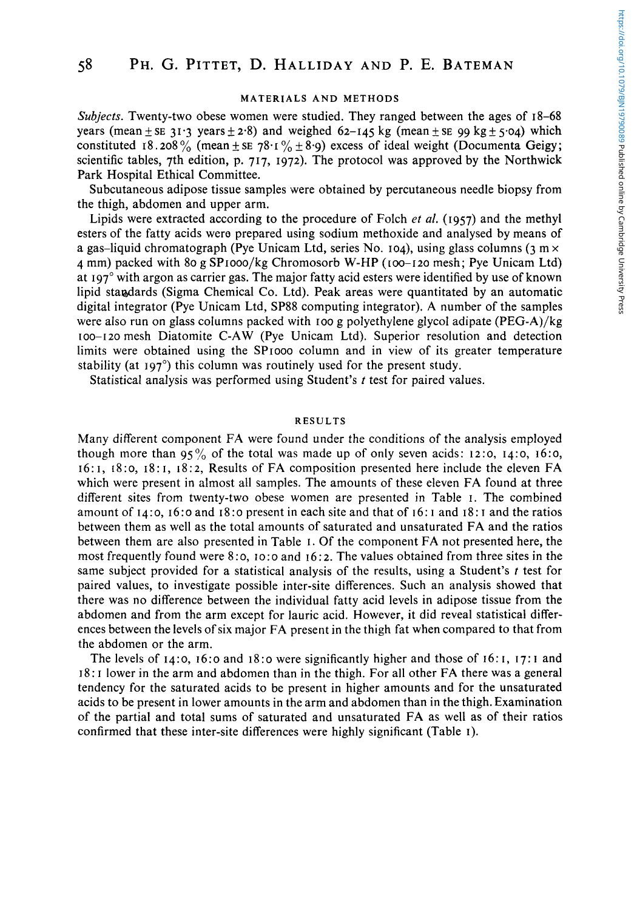#### **MATERIALS AND METHODS**

*Subjects.* Twenty-two obese women were studied. They ranged between the ages of **18-68**  years (mean  $\pm$  se 31.3 years  $\pm$  2.8) and weighed 62-145 kg (mean  $\pm$  se 99 kg  $\pm$  5.04) which constituted 18.208% (mean  $\pm$  SE 78.1%  $\pm$  8.9) excess of ideal weight (Documenta Geigy; scientific tables, 7th edition, p. **717, 1972).** The protocol was approved by the Northwick Park Hospital Ethical Committee.

Subcutaneous adipose tissue samples were obtained by percutaneous needle biopsy from the thigh, abdomen and upper arm.

Lipids were extracted according to the procedure of Folch et *al.* **(1957)** and the methyl esters of the fatty acids were prepared using sodium methoxide and analysed by means of a gas-liquid chromatograph (Pye Unicam Ltd, series No. 104), using glass columns  $(3 m \times$ **4** mm) packed with **80 g** SProoo/kg Chromosorb W-HP **(roc-120** mesh; Pye Unicam Ltd) at **197'** with argon as carrier gas. The major fatty acid esters were identified by use of known lipid stawlards (Sigma Chemical Co. Ltd). Peak areas were quantitated by an automatic digital integrator (Pye Unicam Ltd, **SP88** computing integrator). A number of the samples were also run on glass columns packed with **IOO** g polyethylene glycol adipate (PEG-A)/kg 100-1 **20** mesh Diatomite C-AW (Pye Unicam Ltd). Superior resolution and detection limits were obtained using the **SPIOOO** column and in view of its greater temperature stability (at **197")** this column was routinely used for the present study.

Statistical analysis was performed using Student's *t* test for paired values.

#### **RESULTS**

Many different component **FA** were found under the conditions of the analysis employed though more than  $95\%$  of the total was made up of only seven acids: **12:0, 14:0, 16:0**, **16: I, 18:o, 18: I, 18: 2,** Results of FA composition presented here include the eleven FA which were present in almost all samples. The amounts of these eleven FA found at three different sites from twenty-two obese women are presented in Table **I.** The combined amount of **14:0, 16:o** and **18:o** present in each site and that of **16: I** and **18: I** and the ratios between them as well as the total amounts of saturated and unsaturated FA and the ratios between them are also presented in Table **I.** Of the component FA not presented here, the most frequently found were **8:0, IO:O** and **16:2.** The values obtained from three sites in the same subject provided for a statistical analysis of the results, using a Student's  $t$  test for paired values, to investigate possible inter-site differences. Such an analysis showed that there was no difference between the individual fatty acid levels in adipose tissue from the abdomen and from the arm except for lauric acid. However, it did reveal statistical differences between the levels of six major FA present in the thigh fat when compared to that from the abdomen or the arm.

The levels of **14:0, 16:o** and **18:o** were significantly higher and those of **16: I, 17: I** and **18: I** lower in the arm and abdomen than in the thigh. For all other FA there was a general tendency for the saturated acids to be present in higher amounts and for the unsaturated acids to be present in lower amounts in the arm and abdomen than in the thigh. Examination of the partial and total sums of saturated and unsaturated FA as well as of their ratios confirmed that these inter-site differences were highly significant (Table **I).**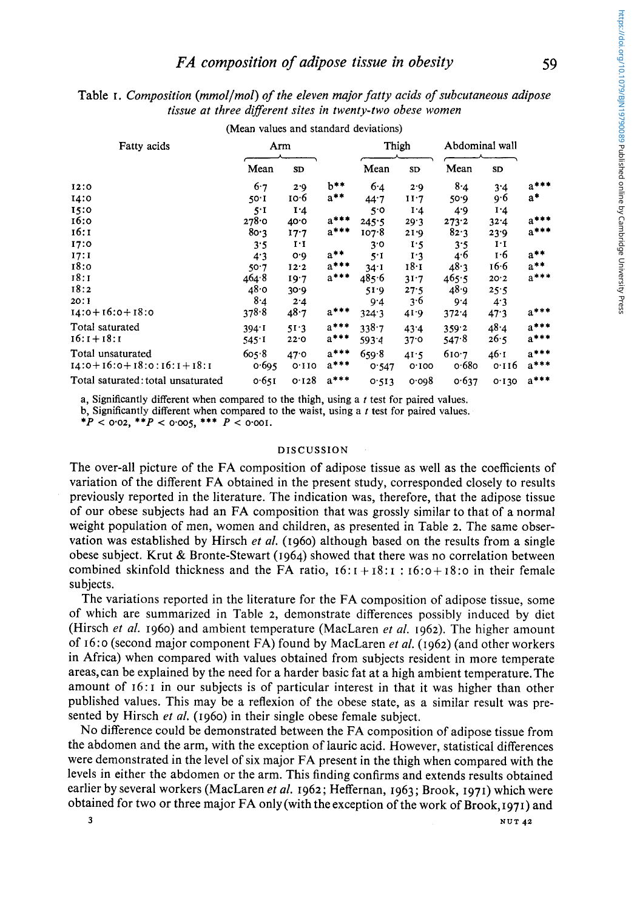Table I. Composition (mmol/mol) of the eleven major fatty acids of subcutaneous adipose tissue at three different sites in twenty-two obese women

|                                                 |                 |                          |                             | $\frac{1}{2}$  |                |                |                               |                  |
|-------------------------------------------------|-----------------|--------------------------|-----------------------------|----------------|----------------|----------------|-------------------------------|------------------|
| Fatty acids                                     | Arm             |                          |                             | Thigh          |                | Abdominal wall |                               |                  |
|                                                 | Mean            | <b>SD</b>                |                             | Mean           | SD             | Mean           | <b>SD</b>                     |                  |
| 12:0                                            | 6.7             | 2.9                      | $b***$                      | 6.4            | 2.9            | 8.4            | 3.4                           | $a***$           |
| 14:0                                            | 50 <sup>1</sup> | 10.6                     | $a***$                      | 44.7           | II.7           | 50.9           | 9.6                           | $a^*$            |
| 15:0                                            | 5 <sup>1</sup>  | I:4                      |                             | 5.0            | I <sub>1</sub> | 4.9            | I.4                           |                  |
| 16:0                                            | 278.0           | 40.0                     | $a***$                      | 245.5          | 29.3           | 273.2          | 32.4                          | $a***$           |
| 16:1                                            | 80.3            | 17.7                     | $\mathbf{a}^{\ast\ast\ast}$ | 107.8          | 21.9           | 82.3           | 23.9                          | $a***$           |
| 17:0                                            | 3.5             | $I^{\dagger}$            |                             | 3'0            | 1.5            | 3.5            | $\mathbf{I} \cdot \mathbf{I}$ |                  |
| 17:1                                            | 4.3             | O Q                      | $a***$                      | $5^{\circ}$ I  | 1.3            | 46             | т.6                           | $a***$           |
| 18:0                                            | 50.7            | 12.2                     | $a***$                      | 34:1           | 18.1           | 48.3           | 16.6                          | $a***$           |
| 18:1                                            | 464.8           | 19.7                     | $a***$                      | 485.6          | 31.7           | 465.5          | 20.2                          | $a***$           |
| 18:2                                            | 48.0            | 30.9                     |                             | 51.9           | 27.5           | 48.9           | 25.5                          |                  |
| 20: I                                           | 8.4             | 2.4                      |                             | 9.4            | 3.6            | 9.4            | 4.3                           |                  |
| $14:0+16:0+18:0$                                | 378.8           | 48.7                     | $a***$                      | 324.3          | 41.9           | 372.4          | 47.3                          | $a***$           |
| Total saturated                                 | $394 \cdot I$   | 51.3                     | $a***$                      | 338.7          | 43.4           | 359.2          | 48.4                          | $a***$           |
| $16:1 + 18:1$                                   | 545.1           | 22.0                     | $a***$                      | 593.4          | 37.0           | 547.8          | 26.5                          | $a***$           |
| Total unsaturated<br>$14:0+16:0+18:0:16:1+18:1$ | 605.8<br>0.695  | 47.0<br>O <sub>110</sub> | $a***$<br>$a***$            | 659.8<br>0.547 | 41.5<br>0.100  | 610.7<br>0.680 | 46.1<br>0.116                 | $a***$<br>$a***$ |
| Total saturated: total unsaturated              | 0.651           | 0.128                    | $a***$                      | 0.513          | 0.098          | 0.637          | 0.130                         | $a***$           |

(Mean values and standard deviations)

a. Significantly different when compared to the thigh, using a  $t$  test for paired values.

b, Significantly different when compared to the waist, using a  $t$  test for paired values.

\* $P <$  0.02, \*\* $P <$  0.005, \*\*\*  $P <$  0.001.

#### **DISCUSSION**

The over-all picture of the FA composition of adipose tissue as well as the coefficients of variation of the different FA obtained in the present study, corresponded closely to results previously reported in the literature. The indication was, therefore, that the adipose tissue of our obese subjects had an FA composition that was grossly similar to that of a normal weight population of men, women and children, as presented in Table 2. The same observation was established by Hirsch et al. (1960) although based on the results from a single obese subject. Krut & Bronte-Stewart (1964) showed that there was no correlation between combined skinfold thickness and the FA ratio,  $16:1 + 18:1$ :  $16:0 + 18:0$  in their female subjects.

The variations reported in the literature for the FA composition of adipose tissue, some of which are summarized in Table 2, demonstrate differences possibly induced by diet (Hirsch et al. 1960) and ambient temperature (MacLaren et al. 1962). The higher amount of 16:0 (second major component FA) found by MacLaren et al. (1962) (and other workers in Africa) when compared with values obtained from subjects resident in more temperate areas, can be explained by the need for a harder basic fat at a high ambient temperature. The amount of 16:1 in our subjects is of particular interest in that it was higher than other published values. This may be a reflexion of the obese state, as a similar result was presented by Hirsch et al. (1960) in their single obese female subject.

No difference could be demonstrated between the FA composition of adipose tissue from the abdomen and the arm, with the exception of lauric acid. However, statistical differences were demonstrated in the level of six major FA present in the thigh when compared with the levels in either the abdomen or the arm. This finding confirms and extends results obtained earlier by several workers (MacLaren et al. 1962; Heffernan, 1963; Brook, 1971) which were obtained for two or three major FA only (with the exception of the work of Brook, 1971) and

59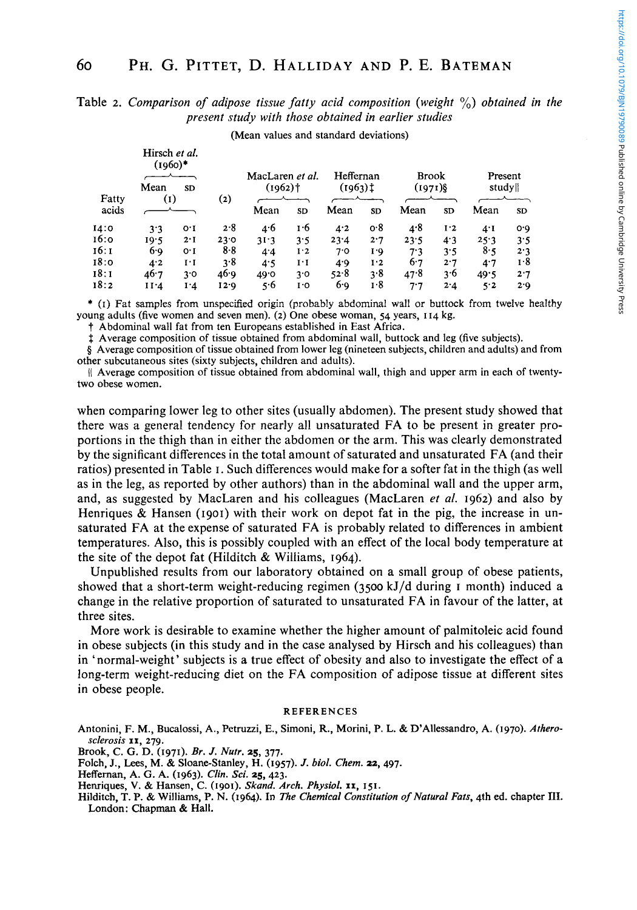## *60* **PH.** G. **PITTET,** D. **HALLIDAY AND P.** E. **BATEMAN**

Table *2. Comparison* of *adipose tissue fatty acid composition (weight* %) *obtained in the present study with those obtained in earlier studies* 

|       |                                |                               |                                          | PH. G. PITTET, D. HALLIDAY AND P. E. BATEMAN                                                                                                     |                                    |      |                            |      |                  |      |           |  |
|-------|--------------------------------|-------------------------------|------------------------------------------|--------------------------------------------------------------------------------------------------------------------------------------------------|------------------------------------|------|----------------------------|------|------------------|------|-----------|--|
|       |                                |                               |                                          | ble 2. Comparison of adipose tissue fatty acid composition (weight $\%$ ) obtained in t.<br>present study with those obtained in earlier studies |                                    |      |                            |      |                  |      |           |  |
|       |                                |                               |                                          | (Mean values and standard deviations)                                                                                                            |                                    |      |                            |      |                  |      |           |  |
|       | Hirsch et al.<br>$(1960)^*$    |                               |                                          |                                                                                                                                                  |                                    |      |                            |      |                  |      |           |  |
| Fatty | Mean<br><b>SD</b><br>$\rm (I)$ |                               | MacLaren et al.<br>$(1962)$ <sup>†</sup> |                                                                                                                                                  | Heffernan<br>$(1963)$ <sup>†</sup> |      | <b>Brook</b><br>$(1971)$ § |      | Present<br>study |      |           |  |
| acids |                                |                               | (2)                                      | Mean                                                                                                                                             | SD.                                | Mean | SD.                        | Mean | SD <sub>1</sub>  | Mean | <b>SD</b> |  |
| 14:0  | 3.3                            | O <sub>T</sub>                | 2.8                                      | 4.6                                                                                                                                              | 1.6                                | 4.2  | 0.8                        | 4.8  | 1.2              | 4:1  | 0.0       |  |
| 16:0  | 10.5                           | $2 \cdot I$                   | 23.0                                     | 31.3                                                                                                                                             | 3.5                                | 23.4 | 2.7                        | 23.5 | 4.3              | 25.3 | 3.5       |  |
| 16:1  | 6.9                            | 0.1                           | $8-8$                                    | 4.4                                                                                                                                              | I·2                                | 7.0  | 1.9                        | 7.3  | 3.5              | 8.5  | 2.3       |  |
| 18:0  | 4.2                            | $\mathbf{I} \cdot \mathbf{I}$ | 3.8                                      | 4.5                                                                                                                                              | $1 \cdot 1$                        | 4.9  | 1.2                        | 6.7  | 2.7              | 4.7  | 1.8       |  |
| 18:1  | 46.7                           | 3.0                           | 46.9                                     | 49.0                                                                                                                                             | 3.0                                | 52.8 | 3.8                        | 47.8 | 3.6              | 49.5 | 2.7       |  |
| 18:2  | II·4                           | 1.4                           | 12.9                                     | 5.6                                                                                                                                              | I٠O                                | 6.9  | 1.8                        | 7.7  | 2.4              | 5.2  | 2.9       |  |
|       |                                |                               |                                          |                                                                                                                                                  |                                    |      |                            |      |                  |      |           |  |

\* (I) Fat samples from unspecified origin (probably abdominal wall or buttock from twelve healthy young adults (five women and seven men). **(2)** One obese woman, **54** years, **I 14** kg.

t Abdominal wall fat from ten Europeans established in East Africa.

 $\ddagger$  Average composition of tissue obtained from abdominal wall, buttock and leg (five subjects).

Average composition of tissue obtained from lower leg (nineteen subjects, children and adults) and from other subcutaneous sites (sixty subjects, children and adults).

(1 Average composition of tissue obtained from abdominal wall, thigh and upper arm in each of twentytwo obese women.

when comparing lower leg to other sites (usually abdomen). The present study showed that there was a general tendency for nearly all unsaturated FA to be present in greater proportions in the thigh than in either the abdomen or the arm. This was clearly demonstrated by the significant differences in the total amount of saturated and unsaturated FA (and their ratios) presented in Table **I.** Such differences would make for a softer fat in the thigh (as well as in the leg, as reported by other authors) than in the abdominal wall and the upper arm, and, as suggested by MacLaren and his colleagues (MacLaren *et al.* **1962)** and also by Henriques & Hansen **(1901)** with their work on depot fat in the pig, the increase in **un**saturated **FA** at the expense of saturated FA is probably related to differences in ambient temperatures. Also, this is possibly coupled with an effect of the local body temperature at the site of the depot fat (Hilditch & Williams, **1964).** 

Unpublished results from our laboratory obtained on a small group of obese patients, showed that a short-term weight-reducing regimen **(3500** kJ/d during **I** month) induced a change in the relative proportion of saturated to unsaturated FA in favour of the latter, at three sites.

More work is desirable to examine whether the higher amount of palmitoleic acid found in obese subjects (in this study and in the case analysed by Hirsch and his colleagues) than in 'normal-weight' subjects is a true effect of obesity and also to investigate the effect of a long-term weight-reducing diet on the FA composition of adipose tissue at different sites in obese people.

#### **REFERENCES**

Antonini, **F.** M., Bucalossi, A., Petruzzi, **E.,** Simoni, R., Morini, **P.** L. & D'Allessandro, A. **(1970).** *Atherosclerosis I* **I, 279.** 

Brook, **C. G.** D. **(1971).** *Br. J. Nub. 25,* **377.** 

Folch, **J.,** Lees, M. & Sloane-Stanley, **H. (1957).** *J. biol. Chem.* **22, 497.** 

Hilditch, **T. P.** & Williams, **P.** N. **(1964). In** *The Chemical Constitution of Nafural Fats,* 4th **ed.** chapter **111.**  London: Chapman & Hall.

Heffernan, A. **G. A. (1963).** *Clin. Sci.* **25, 423.** 

Henriques, **V.** & Hansen, **C. (1901).** *Skand. Arch. Physiol.* **XI, 151.**